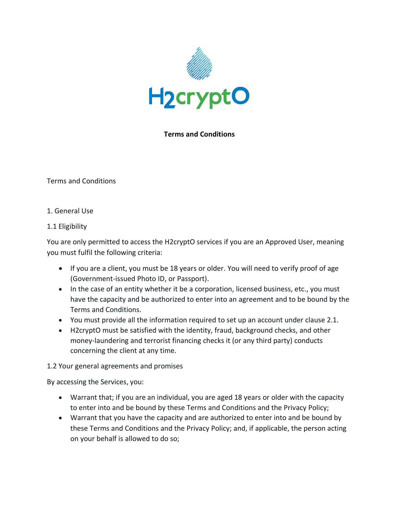

# **Terms and Conditions**

Terms and Conditions

1. General Use

### 1.1 Eligibility

You are only permitted to access the H2cryptO services if you are an Approved User, meaning you must fulfil the following criteria:

- If you are a client, you must be 18 years or older. You will need to verify proof of age (Government-issued Photo ID, or Passport).
- In the case of an entity whether it be a corporation, licensed business, etc., you must have the capacity and be authorized to enter into an agreement and to be bound by the Terms and Conditions.
- You must provide all the information required to set up an account under clause 2.1.
- H2cryptO must be satisfied with the identity, fraud, background checks, and other money-laundering and terrorist financing checks it (or any third party) conducts concerning the client at any time.

### 1.2 Your general agreements and promises

By accessing the Services, you:

- Warrant that; if you are an individual, you are aged 18 years or older with the capacity to enter into and be bound by these Terms and Conditions and the Privacy Policy;
- Warrant that you have the capacity and are authorized to enter into and be bound by these Terms and Conditions and the Privacy Policy; and, if applicable, the person acting on your behalf is allowed to do so;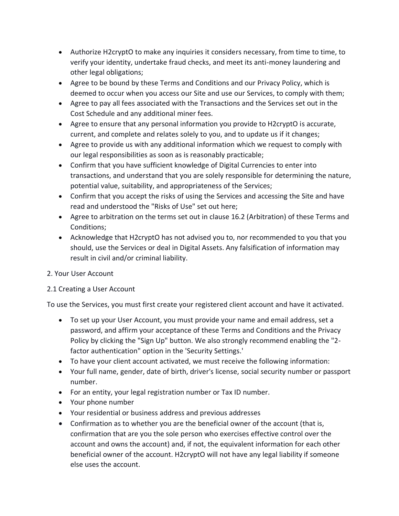- Authorize H2cryptO to make any inquiries it considers necessary, from time to time, to verify your identity, undertake fraud checks, and meet its anti-money laundering and other legal obligations;
- Agree to be bound by these Terms and Conditions and our Privacy Policy, which is deemed to occur when you access our Site and use our Services, to comply with them;
- Agree to pay all fees associated with the Transactions and the Services set out in the Cost Schedule and any additional miner fees.
- Agree to ensure that any personal information you provide to H2cryptO is accurate, current, and complete and relates solely to you, and to update us if it changes;
- Agree to provide us with any additional information which we request to comply with our legal responsibilities as soon as is reasonably practicable;
- Confirm that you have sufficient knowledge of Digital Currencies to enter into transactions, and understand that you are solely responsible for determining the nature, potential value, suitability, and appropriateness of the Services;
- Confirm that you accept the risks of using the Services and accessing the Site and have read and understood the "Risks of Use" set out here;
- Agree to arbitration on the terms set out in clause 16.2 (Arbitration) of these Terms and Conditions;
- Acknowledge that H2cryptO has not advised you to, nor recommended to you that you should, use the Services or deal in Digital Assets. Any falsification of information may result in civil and/or criminal liability.

# 2. Your User Account

# 2.1 Creating a User Account

To use the Services, you must first create your registered client account and have it activated.

- To set up your User Account, you must provide your name and email address, set a password, and affirm your acceptance of these Terms and Conditions and the Privacy Policy by clicking the "Sign Up" button. We also strongly recommend enabling the "2 factor authentication" option in the 'Security Settings.'
- To have your client account activated, we must receive the following information:
- Your full name, gender, date of birth, driver's license, social security number or passport number.
- For an entity, your legal registration number or Tax ID number.
- Your phone number
- Your residential or business address and previous addresses
- Confirmation as to whether you are the beneficial owner of the account (that is, confirmation that are you the sole person who exercises effective control over the account and owns the account) and, if not, the equivalent information for each other beneficial owner of the account. H2cryptO will not have any legal liability if someone else uses the account.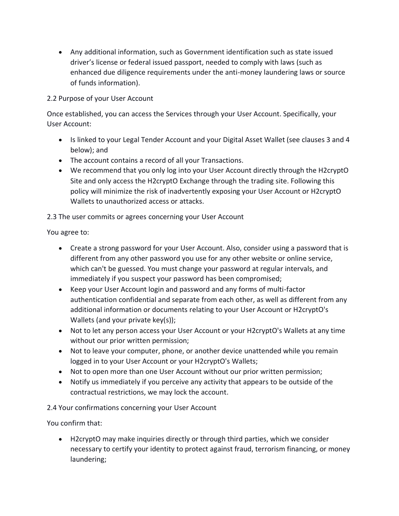• Any additional information, such as Government identification such as state issued driver's license or federal issued passport, needed to comply with laws (such as enhanced due diligence requirements under the anti-money laundering laws or source of funds information).

# 2.2 Purpose of your User Account

Once established, you can access the Services through your User Account. Specifically, your User Account:

- Is linked to your Legal Tender Account and your Digital Asset Wallet (see clauses 3 and 4 below); and
- The account contains a record of all your Transactions.
- We recommend that you only log into your User Account directly through the H2cryptO Site and only access the H2cryptO Exchange through the trading site. Following this policy will minimize the risk of inadvertently exposing your User Account or H2cryptO Wallets to unauthorized access or attacks.

2.3 The user commits or agrees concerning your User Account

You agree to:

- Create a strong password for your User Account. Also, consider using a password that is different from any other password you use for any other website or online service, which can't be guessed. You must change your password at regular intervals, and immediately if you suspect your password has been compromised;
- Keep your User Account login and password and any forms of multi-factor authentication confidential and separate from each other, as well as different from any additional information or documents relating to your User Account or H2cryptO's Wallets (and your private key(s));
- Not to let any person access your User Account or your H2cryptO's Wallets at any time without our prior written permission;
- Not to leave your computer, phone, or another device unattended while you remain logged in to your User Account or your H2cryptO's Wallets;
- Not to open more than one User Account without our prior written permission;
- Notify us immediately if you perceive any activity that appears to be outside of the contractual restrictions, we may lock the account.

2.4 Your confirmations concerning your User Account

You confirm that:

• H2cryptO may make inquiries directly or through third parties, which we consider necessary to certify your identity to protect against fraud, terrorism financing, or money laundering;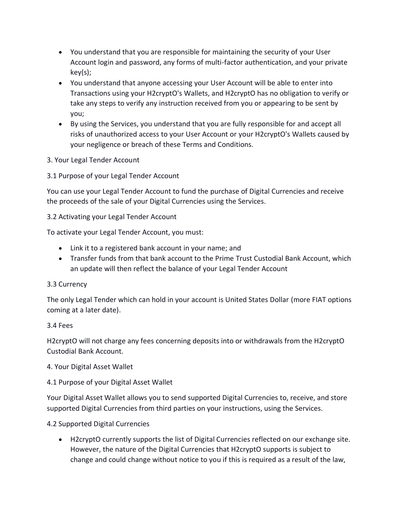- You understand that you are responsible for maintaining the security of your User Account login and password, any forms of multi-factor authentication, and your private key(s);
- You understand that anyone accessing your User Account will be able to enter into Transactions using your H2cryptO's Wallets, and H2cryptO has no obligation to verify or take any steps to verify any instruction received from you or appearing to be sent by you;
- By using the Services, you understand that you are fully responsible for and accept all risks of unauthorized access to your User Account or your H2cryptO's Wallets caused by your negligence or breach of these Terms and Conditions.
- 3. Your Legal Tender Account
- 3.1 Purpose of your Legal Tender Account

You can use your Legal Tender Account to fund the purchase of Digital Currencies and receive the proceeds of the sale of your Digital Currencies using the Services.

# 3.2 Activating your Legal Tender Account

To activate your Legal Tender Account, you must:

- Link it to a registered bank account in your name; and
- Transfer funds from that bank account to the Prime Trust Custodial Bank Account, which an update will then reflect the balance of your Legal Tender Account

# 3.3 Currency

The only Legal Tender which can hold in your account is United States Dollar (more FIAT options coming at a later date).

# 3.4 Fees

H2cryptO will not charge any fees concerning deposits into or withdrawals from the H2cryptO Custodial Bank Account.

- 4. Your Digital Asset Wallet
- 4.1 Purpose of your Digital Asset Wallet

Your Digital Asset Wallet allows you to send supported Digital Currencies to, receive, and store supported Digital Currencies from third parties on your instructions, using the Services.

# 4.2 Supported Digital Currencies

• H2cryptO currently supports the list of Digital Currencies reflected on our exchange site. However, the nature of the Digital Currencies that H2cryptO supports is subject to change and could change without notice to you if this is required as a result of the law,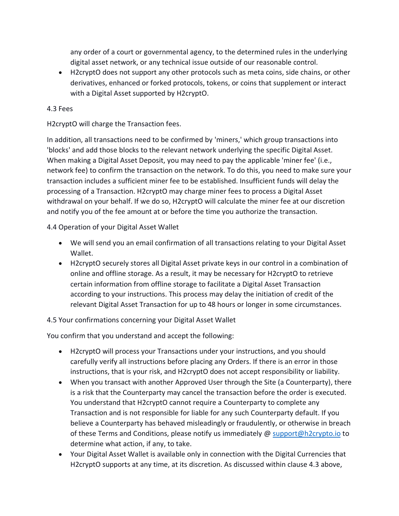any order of a court or governmental agency, to the determined rules in the underlying digital asset network, or any technical issue outside of our reasonable control.

• H2cryptO does not support any other protocols such as meta coins, side chains, or other derivatives, enhanced or forked protocols, tokens, or coins that supplement or interact with a Digital Asset supported by H2cryptO.

## 4.3 Fees

H2cryptO will charge the Transaction fees.

In addition, all transactions need to be confirmed by 'miners,' which group transactions into 'blocks' and add those blocks to the relevant network underlying the specific Digital Asset. When making a Digital Asset Deposit, you may need to pay the applicable 'miner fee' (i.e., network fee) to confirm the transaction on the network. To do this, you need to make sure your transaction includes a sufficient miner fee to be established. Insufficient funds will delay the processing of a Transaction. H2cryptO may charge miner fees to process a Digital Asset withdrawal on your behalf. If we do so, H2cryptO will calculate the miner fee at our discretion and notify you of the fee amount at or before the time you authorize the transaction.

4.4 Operation of your Digital Asset Wallet

- We will send you an email confirmation of all transactions relating to your Digital Asset Wallet.
- H2cryptO securely stores all Digital Asset private keys in our control in a combination of online and offline storage. As a result, it may be necessary for H2cryptO to retrieve certain information from offline storage to facilitate a Digital Asset Transaction according to your instructions. This process may delay the initiation of credit of the relevant Digital Asset Transaction for up to 48 hours or longer in some circumstances.

4.5 Your confirmations concerning your Digital Asset Wallet

You confirm that you understand and accept the following:

- H2cryptO will process your Transactions under your instructions, and you should carefully verify all instructions before placing any Orders. If there is an error in those instructions, that is your risk, and H2cryptO does not accept responsibility or liability.
- When you transact with another Approved User through the Site (a Counterparty), there is a risk that the Counterparty may cancel the transaction before the order is executed. You understand that H2cryptO cannot require a Counterparty to complete any Transaction and is not responsible for liable for any such Counterparty default. If you believe a Counterparty has behaved misleadingly or fraudulently, or otherwise in breach of these Terms and Conditions, please notify us immediately @ [support@h2crypto.io](mailto:atsupport@h2crypto.io) to determine what action, if any, to take.
- Your Digital Asset Wallet is available only in connection with the Digital Currencies that H2cryptO supports at any time, at its discretion. As discussed within clause 4.3 above,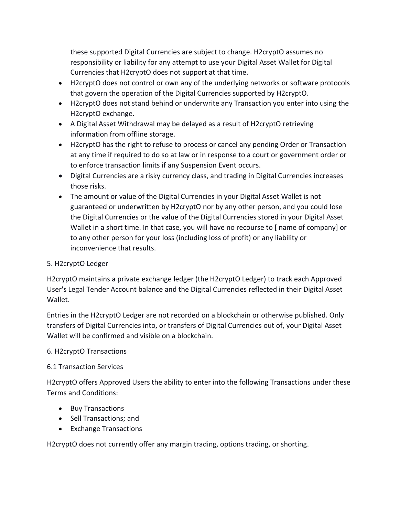these supported Digital Currencies are subject to change. H2cryptO assumes no responsibility or liability for any attempt to use your Digital Asset Wallet for Digital Currencies that H2cryptO does not support at that time.

- H2cryptO does not control or own any of the underlying networks or software protocols that govern the operation of the Digital Currencies supported by H2cryptO.
- H2cryptO does not stand behind or underwrite any Transaction you enter into using the H2cryptO exchange.
- A Digital Asset Withdrawal may be delayed as a result of H2cryptO retrieving information from offline storage.
- H2cryptO has the right to refuse to process or cancel any pending Order or Transaction at any time if required to do so at law or in response to a court or government order or to enforce transaction limits if any Suspension Event occurs.
- Digital Currencies are a risky currency class, and trading in Digital Currencies increases those risks.
- The amount or value of the Digital Currencies in your Digital Asset Wallet is not guaranteed or underwritten by H2cryptO nor by any other person, and you could lose the Digital Currencies or the value of the Digital Currencies stored in your Digital Asset Wallet in a short time. In that case, you will have no recourse to [ name of company] or to any other person for your loss (including loss of profit) or any liability or inconvenience that results.

# 5. H2cryptO Ledger

H2cryptO maintains a private exchange ledger (the H2cryptO Ledger) to track each Approved User's Legal Tender Account balance and the Digital Currencies reflected in their Digital Asset Wallet.

Entries in the H2cryptO Ledger are not recorded on a blockchain or otherwise published. Only transfers of Digital Currencies into, or transfers of Digital Currencies out of, your Digital Asset Wallet will be confirmed and visible on a blockchain.

# 6. H2cryptO Transactions

# 6.1 Transaction Services

H2cryptO offers Approved Users the ability to enter into the following Transactions under these Terms and Conditions:

- Buy Transactions
- Sell Transactions; and
- Exchange Transactions

H2cryptO does not currently offer any margin trading, options trading, or shorting.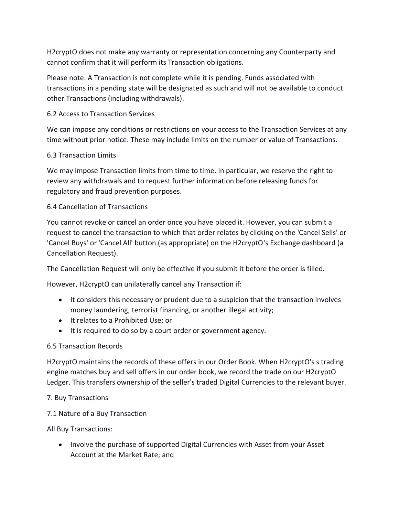H2cryptO does not make any warranty or representation concerning any Counterparty and cannot confirm that it will perform its Transaction obligations.

Please note: A Transaction is not complete while it is pending. Funds associated with transactions in a pending state will be designated as such and will not be available to conduct other Transactions (including withdrawals).

# 6.2 Access to Transaction Services

We can impose any conditions or restrictions on your access to the Transaction Services at any time without prior notice. These may include limits on the number or value of Transactions.

### 6.3 Transaction Limits

We may impose Transaction limits from time to time. In particular, we reserve the right to review any withdrawals and to request further information before releasing funds for regulatory and fraud prevention purposes.

# 6.4 Cancellation of Transactions

You cannot revoke or cancel an order once you have placed it. However, you can submit a request to cancel the transaction to which that order relates by clicking on the 'Cancel Sells' or 'Cancel Buys' or 'Cancel All' button (as appropriate) on the H2cryptO's Exchange dashboard (a Cancellation Request).

The Cancellation Request will only be effective if you submit it before the order is filled.

However, H2cryptO can unilaterally cancel any Transaction if:

- It considers this necessary or prudent due to a suspicion that the transaction involves money laundering, terrorist financing, or another illegal activity;
- It relates to a Prohibited Use; or
- It is required to do so by a court order or government agency.

# 6.5 Transaction Records

H2cryptO maintains the records of these offers in our Order Book. When H2cryptO's s trading engine matches buy and sell offers in our order book, we record the trade on our H2cryptO Ledger. This transfers ownership of the seller's traded Digital Currencies to the relevant buyer.

### 7. Buy Transactions

7.1 Nature of a Buy Transaction

All Buy Transactions:

• Involve the purchase of supported Digital Currencies with Asset from your Asset Account at the Market Rate; and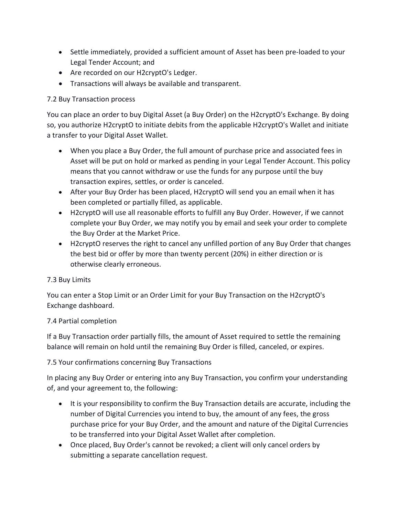- Settle immediately, provided a sufficient amount of Asset has been pre-loaded to your Legal Tender Account; and
- Are recorded on our H2cryptO's Ledger.
- Transactions will always be available and transparent.

# 7.2 Buy Transaction process

You can place an order to buy Digital Asset (a Buy Order) on the H2cryptO's Exchange. By doing so, you authorize H2cryptO to initiate debits from the applicable H2cryptO's Wallet and initiate a transfer to your Digital Asset Wallet.

- When you place a Buy Order, the full amount of purchase price and associated fees in Asset will be put on hold or marked as pending in your Legal Tender Account. This policy means that you cannot withdraw or use the funds for any purpose until the buy transaction expires, settles, or order is canceled.
- After your Buy Order has been placed, H2cryptO will send you an email when it has been completed or partially filled, as applicable.
- H2cryptO will use all reasonable efforts to fulfill any Buy Order. However, if we cannot complete your Buy Order, we may notify you by email and seek your order to complete the Buy Order at the Market Price.
- H2cryptO reserves the right to cancel any unfilled portion of any Buy Order that changes the best bid or offer by more than twenty percent (20%) in either direction or is otherwise clearly erroneous.

# 7.3 Buy Limits

You can enter a Stop Limit or an Order Limit for your Buy Transaction on the H2cryptO's Exchange dashboard.

# 7.4 Partial completion

If a Buy Transaction order partially fills, the amount of Asset required to settle the remaining balance will remain on hold until the remaining Buy Order is filled, canceled, or expires.

# 7.5 Your confirmations concerning Buy Transactions

In placing any Buy Order or entering into any Buy Transaction, you confirm your understanding of, and your agreement to, the following:

- It is your responsibility to confirm the Buy Transaction details are accurate, including the number of Digital Currencies you intend to buy, the amount of any fees, the gross purchase price for your Buy Order, and the amount and nature of the Digital Currencies to be transferred into your Digital Asset Wallet after completion.
- Once placed, Buy Order's cannot be revoked; a client will only cancel orders by submitting a separate cancellation request.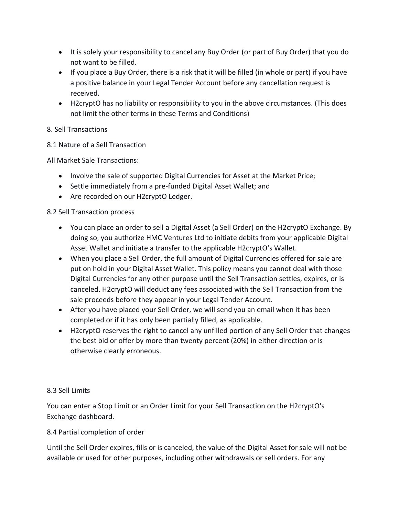- It is solely your responsibility to cancel any Buy Order (or part of Buy Order) that you do not want to be filled.
- If you place a Buy Order, there is a risk that it will be filled (in whole or part) if you have a positive balance in your Legal Tender Account before any cancellation request is received.
- H2cryptO has no liability or responsibility to you in the above circumstances. (This does not limit the other terms in these Terms and Conditions)

# 8. Sell Transactions

8.1 Nature of a Sell Transaction

All Market Sale Transactions:

- Involve the sale of supported Digital Currencies for Asset at the Market Price;
- Settle immediately from a pre-funded Digital Asset Wallet; and
- Are recorded on our H2cryptO Ledger.

# 8.2 Sell Transaction process

- You can place an order to sell a Digital Asset (a Sell Order) on the H2cryptO Exchange. By doing so, you authorize HMC Ventures Ltd to initiate debits from your applicable Digital Asset Wallet and initiate a transfer to the applicable H2cryptO's Wallet.
- When you place a Sell Order, the full amount of Digital Currencies offered for sale are put on hold in your Digital Asset Wallet. This policy means you cannot deal with those Digital Currencies for any other purpose until the Sell Transaction settles, expires, or is canceled. H2cryptO will deduct any fees associated with the Sell Transaction from the sale proceeds before they appear in your Legal Tender Account.
- After you have placed your Sell Order, we will send you an email when it has been completed or if it has only been partially filled, as applicable.
- H2cryptO reserves the right to cancel any unfilled portion of any Sell Order that changes the best bid or offer by more than twenty percent (20%) in either direction or is otherwise clearly erroneous.

# 8.3 Sell Limits

You can enter a Stop Limit or an Order Limit for your Sell Transaction on the H2cryptO's Exchange dashboard.

# 8.4 Partial completion of order

Until the Sell Order expires, fills or is canceled, the value of the Digital Asset for sale will not be available or used for other purposes, including other withdrawals or sell orders. For any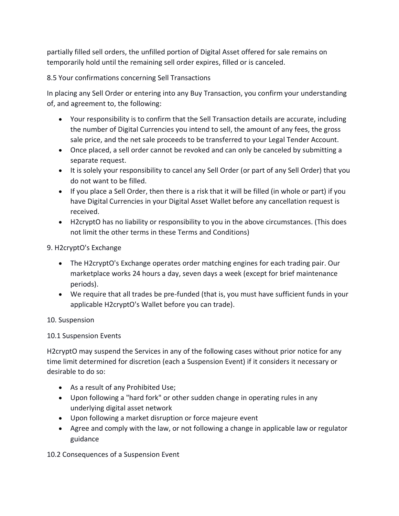partially filled sell orders, the unfilled portion of Digital Asset offered for sale remains on temporarily hold until the remaining sell order expires, filled or is canceled.

8.5 Your confirmations concerning Sell Transactions

In placing any Sell Order or entering into any Buy Transaction, you confirm your understanding of, and agreement to, the following:

- Your responsibility is to confirm that the Sell Transaction details are accurate, including the number of Digital Currencies you intend to sell, the amount of any fees, the gross sale price, and the net sale proceeds to be transferred to your Legal Tender Account.
- Once placed, a sell order cannot be revoked and can only be canceled by submitting a separate request.
- It is solely your responsibility to cancel any Sell Order (or part of any Sell Order) that you do not want to be filled.
- If you place a Sell Order, then there is a risk that it will be filled (in whole or part) if you have Digital Currencies in your Digital Asset Wallet before any cancellation request is received.
- H2cryptO has no liability or responsibility to you in the above circumstances. (This does not limit the other terms in these Terms and Conditions)

9. H2cryptO's Exchange

- The H2cryptO's Exchange operates order matching engines for each trading pair. Our marketplace works 24 hours a day, seven days a week (except for brief maintenance periods).
- We require that all trades be pre-funded (that is, you must have sufficient funds in your applicable H2cryptO's Wallet before you can trade).

10. Suspension

# 10.1 Suspension Events

H2cryptO may suspend the Services in any of the following cases without prior notice for any time limit determined for discretion (each a Suspension Event) if it considers it necessary or desirable to do so:

- As a result of any Prohibited Use;
- Upon following a "hard fork" or other sudden change in operating rules in any underlying digital asset network
- Upon following a market disruption or force majeure event
- Agree and comply with the law, or not following a change in applicable law or regulator guidance

10.2 Consequences of a Suspension Event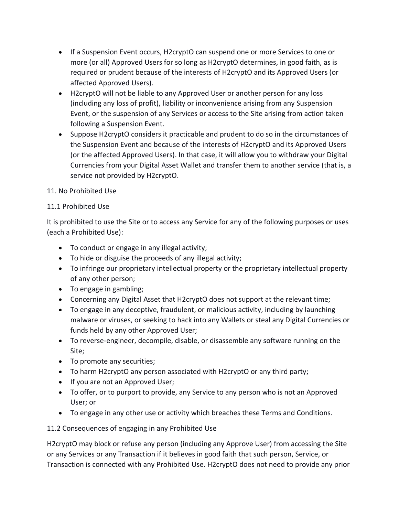- If a Suspension Event occurs, H2cryptO can suspend one or more Services to one or more (or all) Approved Users for so long as H2cryptO determines, in good faith, as is required or prudent because of the interests of H2cryptO and its Approved Users (or affected Approved Users).
- H2cryptO will not be liable to any Approved User or another person for any loss (including any loss of profit), liability or inconvenience arising from any Suspension Event, or the suspension of any Services or access to the Site arising from action taken following a Suspension Event.
- Suppose H2cryptO considers it practicable and prudent to do so in the circumstances of the Suspension Event and because of the interests of H2cryptO and its Approved Users (or the affected Approved Users). In that case, it will allow you to withdraw your Digital Currencies from your Digital Asset Wallet and transfer them to another service (that is, a service not provided by H2cryptO.

# 11. No Prohibited Use

# 11.1 Prohibited Use

It is prohibited to use the Site or to access any Service for any of the following purposes or uses (each a Prohibited Use):

- To conduct or engage in any illegal activity;
- To hide or disguise the proceeds of any illegal activity;
- To infringe our proprietary intellectual property or the proprietary intellectual property of any other person;
- To engage in gambling;
- Concerning any Digital Asset that H2cryptO does not support at the relevant time;
- To engage in any deceptive, fraudulent, or malicious activity, including by launching malware or viruses, or seeking to hack into any Wallets or steal any Digital Currencies or funds held by any other Approved User;
- To reverse-engineer, decompile, disable, or disassemble any software running on the Site;
- To promote any securities;
- To harm H2cryptO any person associated with H2cryptO or any third party;
- If you are not an Approved User;
- To offer, or to purport to provide, any Service to any person who is not an Approved User; or
- To engage in any other use or activity which breaches these Terms and Conditions.

11.2 Consequences of engaging in any Prohibited Use

H2cryptO may block or refuse any person (including any Approve User) from accessing the Site or any Services or any Transaction if it believes in good faith that such person, Service, or Transaction is connected with any Prohibited Use. H2cryptO does not need to provide any prior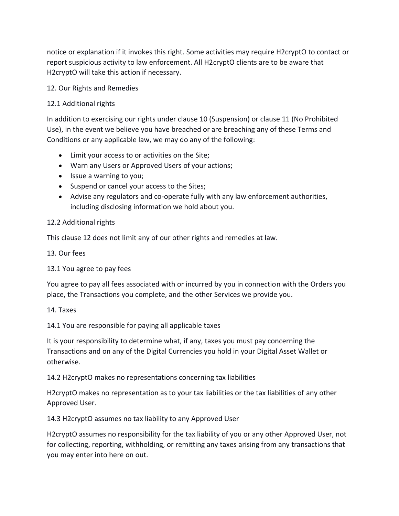notice or explanation if it invokes this right. Some activities may require H2cryptO to contact or report suspicious activity to law enforcement. All H2cryptO clients are to be aware that H2cryptO will take this action if necessary.

## 12. Our Rights and Remedies

## 12.1 Additional rights

In addition to exercising our rights under clause 10 (Suspension) or clause 11 (No Prohibited Use), in the event we believe you have breached or are breaching any of these Terms and Conditions or any applicable law, we may do any of the following:

- Limit your access to or activities on the Site;
- Warn any Users or Approved Users of your actions;
- Issue a warning to you;
- Suspend or cancel your access to the Sites;
- Advise any regulators and co-operate fully with any law enforcement authorities, including disclosing information we hold about you.

### 12.2 Additional rights

This clause 12 does not limit any of our other rights and remedies at law.

13. Our fees

### 13.1 You agree to pay fees

You agree to pay all fees associated with or incurred by you in connection with the Orders you place, the Transactions you complete, and the other Services we provide you.

### 14. Taxes

14.1 You are responsible for paying all applicable taxes

It is your responsibility to determine what, if any, taxes you must pay concerning the Transactions and on any of the Digital Currencies you hold in your Digital Asset Wallet or otherwise.

### 14.2 H2cryptO makes no representations concerning tax liabilities

H2cryptO makes no representation as to your tax liabilities or the tax liabilities of any other Approved User.

14.3 H2cryptO assumes no tax liability to any Approved User

H2cryptO assumes no responsibility for the tax liability of you or any other Approved User, not for collecting, reporting, withholding, or remitting any taxes arising from any transactions that you may enter into here on out.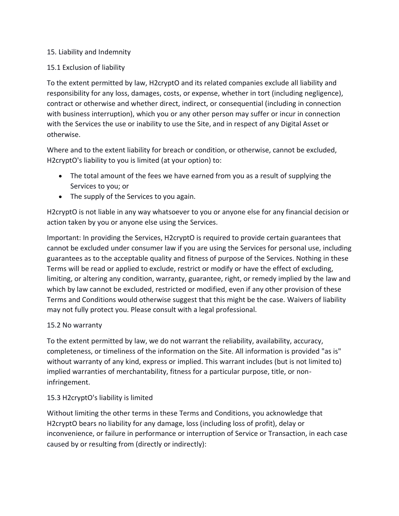# 15. Liability and Indemnity

## 15.1 Exclusion of liability

To the extent permitted by law, H2cryptO and its related companies exclude all liability and responsibility for any loss, damages, costs, or expense, whether in tort (including negligence), contract or otherwise and whether direct, indirect, or consequential (including in connection with business interruption), which you or any other person may suffer or incur in connection with the Services the use or inability to use the Site, and in respect of any Digital Asset or otherwise.

Where and to the extent liability for breach or condition, or otherwise, cannot be excluded, H2cryptO's liability to you is limited (at your option) to:

- The total amount of the fees we have earned from you as a result of supplying the Services to you; or
- The supply of the Services to you again.

H2cryptO is not liable in any way whatsoever to you or anyone else for any financial decision or action taken by you or anyone else using the Services.

Important: In providing the Services, H2cryptO is required to provide certain guarantees that cannot be excluded under consumer law if you are using the Services for personal use, including guarantees as to the acceptable quality and fitness of purpose of the Services. Nothing in these Terms will be read or applied to exclude, restrict or modify or have the effect of excluding, limiting, or altering any condition, warranty, guarantee, right, or remedy implied by the law and which by law cannot be excluded, restricted or modified, even if any other provision of these Terms and Conditions would otherwise suggest that this might be the case. Waivers of liability may not fully protect you. Please consult with a legal professional.

### 15.2 No warranty

To the extent permitted by law, we do not warrant the reliability, availability, accuracy, completeness, or timeliness of the information on the Site. All information is provided "as is" without warranty of any kind, express or implied. This warrant includes (but is not limited to) implied warranties of merchantability, fitness for a particular purpose, title, or noninfringement.

# 15.3 H2cryptO's liability is limited

Without limiting the other terms in these Terms and Conditions, you acknowledge that H2cryptO bears no liability for any damage, loss (including loss of profit), delay or inconvenience, or failure in performance or interruption of Service or Transaction, in each case caused by or resulting from (directly or indirectly):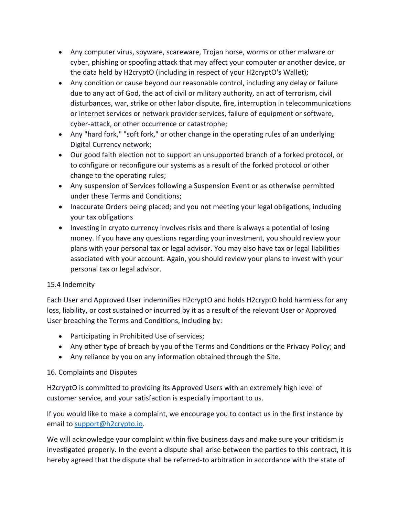- Any computer virus, spyware, scareware, Trojan horse, worms or other malware or cyber, phishing or spoofing attack that may affect your computer or another device, or the data held by H2cryptO (including in respect of your H2cryptO's Wallet);
- Any condition or cause beyond our reasonable control, including any delay or failure due to any act of God, the act of civil or military authority, an act of terrorism, civil disturbances, war, strike or other labor dispute, fire, interruption in telecommunications or internet services or network provider services, failure of equipment or software, cyber-attack, or other occurrence or catastrophe;
- Any "hard fork," "soft fork," or other change in the operating rules of an underlying Digital Currency network;
- Our good faith election not to support an unsupported branch of a forked protocol, or to configure or reconfigure our systems as a result of the forked protocol or other change to the operating rules;
- Any suspension of Services following a Suspension Event or as otherwise permitted under these Terms and Conditions;
- Inaccurate Orders being placed; and you not meeting your legal obligations, including your tax obligations
- Investing in crypto currency involves risks and there is always a potential of losing money. If you have any questions regarding your investment, you should review your plans with your personal tax or legal advisor. You may also have tax or legal liabilities associated with your account. Again, you should review your plans to invest with your personal tax or legal advisor.

# 15.4 Indemnity

Each User and Approved User indemnifies H2cryptO and holds H2cryptO hold harmless for any loss, liability, or cost sustained or incurred by it as a result of the relevant User or Approved User breaching the Terms and Conditions, including by:

- Participating in Prohibited Use of services;
- Any other type of breach by you of the Terms and Conditions or the Privacy Policy; and
- Any reliance by you on any information obtained through the Site.

# 16. Complaints and Disputes

H2cryptO is committed to providing its Approved Users with an extremely high level of customer service, and your satisfaction is especially important to us.

If you would like to make a complaint, we encourage you to contact us in the first instance by email to [support@h2crypto.io.](mailto:support@h2crypto.io)

We will acknowledge your complaint within five business days and make sure your criticism is investigated properly. In the event a dispute shall arise between the parties to this contract, it is hereby agreed that the dispute shall be referred-to arbitration in accordance with the state of